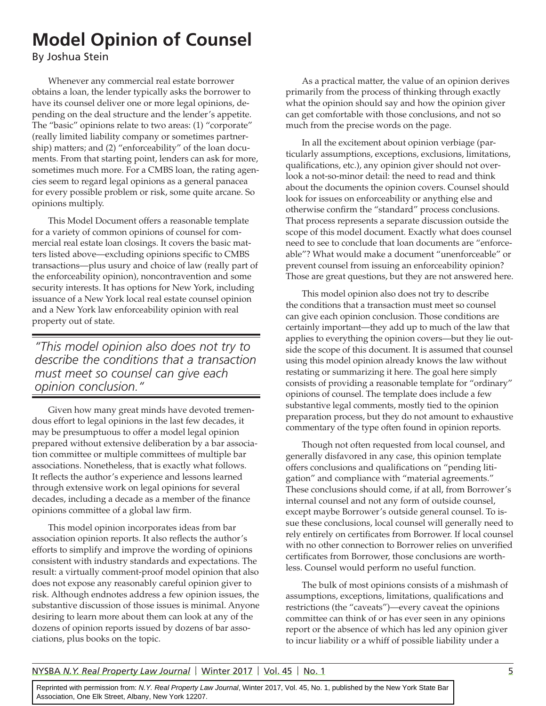# **Model Opinion of Counsel**

By Joshua Stein

Whenever any commercial real estate borrower obtains a loan, the lender typically asks the borrower to have its counsel deliver one or more legal opinions, depending on the deal structure and the lender's appetite. The "basic" opinions relate to two areas: (1) "corporate" (really limited liability company or sometimes partnership) matters; and (2) "enforceability" of the loan documents. From that starting point, lenders can ask for more, sometimes much more. For a CMBS loan, the rating agencies seem to regard legal opinions as a general panacea for every possible problem or risk, some quite arcane. So opinions multiply.

This Model Document offers a reasonable template for a variety of common opinions of counsel for commercial real estate loan closings. It covers the basic matters listed above—excluding opinions specific to CMBS transactions—plus usury and choice of law (really part of the enforceability opinion), noncontravention and some security interests. It has options for New York, including issuance of a New York local real estate counsel opinion and a New York law enforceability opinion with real property out of state.

*"This model opinion also does not try to describe the conditions that a transaction must meet so counsel can give each opinion conclusion."*

Given how many great minds have devoted tremendous effort to legal opinions in the last few decades, it may be presumptuous to offer a model legal opinion prepared without extensive deliberation by a bar association committee or multiple committees of multiple bar associations. Nonetheless, that is exactly what follows. It reflects the author's experience and lessons learned through extensive work on legal opinions for several decades, including a decade as a member of the finance opinions committee of a global law firm.

This model opinion incorporates ideas from bar association opinion reports. It also reflects the author's efforts to simplify and improve the wording of opinions consistent with industry standards and expectations. The result: a virtually comment-proof model opinion that also does not expose any reasonably careful opinion giver to risk. Although endnotes address a few opinion issues, the substantive discussion of those issues is minimal. Anyone desiring to learn more about them can look at any of the dozens of opinion reports issued by dozens of bar associations, plus books on the topic.

As a practical matter, the value of an opinion derives primarily from the process of thinking through exactly what the opinion should say and how the opinion giver can get comfortable with those conclusions, and not so much from the precise words on the page.

In all the excitement about opinion verbiage (particularly assumptions, exceptions, exclusions, limitations, qualifications, etc.), any opinion giver should not overlook a not-so-minor detail: the need to read and think about the documents the opinion covers. Counsel should look for issues on enforceability or anything else and otherwise confirm the "standard" process conclusions. That process represents a separate discussion outside the scope of this model document. Exactly what does counsel need to see to conclude that loan documents are "enforceable"? What would make a document "unenforceable" or prevent counsel from issuing an enforceability opinion? Those are great questions, but they are not answered here.

This model opinion also does not try to describe the conditions that a transaction must meet so counsel can give each opinion conclusion. Those conditions are certainly important—they add up to much of the law that applies to everything the opinion covers—but they lie outside the scope of this document. It is assumed that counsel using this model opinion already knows the law without restating or summarizing it here. The goal here simply consists of providing a reasonable template for "ordinary" opinions of counsel. The template does include a few substantive legal comments, mostly tied to the opinion preparation process, but they do not amount to exhaustive commentary of the type often found in opinion reports.

Though not often requested from local counsel, and generally disfavored in any case, this opinion template offers conclusions and qualifications on "pending litigation" and compliance with "material agreements." These conclusions should come, if at all, from Borrower's internal counsel and not any form of outside counsel, except maybe Borrower's outside general counsel. To issue these conclusions, local counsel will generally need to rely entirely on certificates from Borrower. If local counsel with no other connection to Borrower relies on unverified certificates from Borrower, those conclusions are worthless. Counsel would perform no useful function.

The bulk of most opinions consists of a mishmash of assumptions, exceptions, limitations, qualifications and restrictions (the "caveats")—every caveat the opinions committee can think of or has ever seen in any opinions report or the absence of which has led any opinion giver to incur liability or a whiff of possible liability under a

### NYSBA *N.Y. Real Property Law Journal* | Winter 2017 | Vol. 45 | No. 1 5

Reprinted with permission from: N.Y. Real Property Law Journal, Winter 2017, Vol. 45, No. 1, published by the New York State Bar Association, One Elk Street, Albany, New York 12207.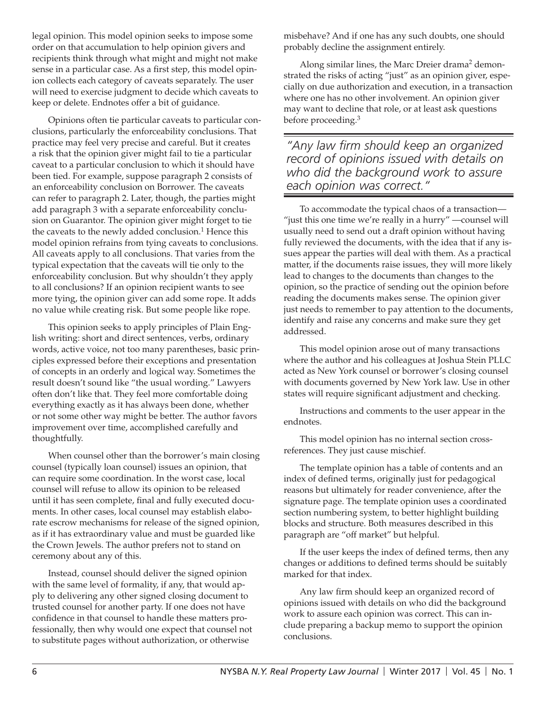legal opinion. This model opinion seeks to impose some order on that accumulation to help opinion givers and recipients think through what might and might not make sense in a particular case. As a first step, this model opinion collects each category of caveats separately. The user will need to exercise judgment to decide which caveats to keep or delete. Endnotes offer a bit of guidance.

Opinions often tie particular caveats to particular conclusions, particularly the enforceability conclusions. That practice may feel very precise and careful. But it creates a risk that the opinion giver might fail to tie a particular caveat to a particular conclusion to which it should have been tied. For example, suppose paragraph 2 consists of an enforceability conclusion on Borrower. The caveats can refer to paragraph 2. Later, though, the parties might add paragraph 3 with a separate enforceability conclusion on Guarantor. The opinion giver might forget to tie the caveats to the newly added conclusion.<sup>1</sup> Hence this model opinion refrains from tying caveats to conclusions. All caveats apply to all conclusions. That varies from the typical expectation that the caveats will tie only to the enforceability conclusion. But why shouldn't they apply to all conclusions? If an opinion recipient wants to see more tying, the opinion giver can add some rope. It adds no value while creating risk. But some people like rope.

This opinion seeks to apply principles of Plain English writing: short and direct sentences, verbs, ordinary words, active voice, not too many parentheses, basic principles expressed before their exceptions and presentation of concepts in an orderly and logical way. Sometimes the result doesn't sound like "the usual wording." Lawyers often don't like that. They feel more comfortable doing everything exactly as it has always been done, whether or not some other way might be better. The author favors improvement over time, accomplished carefully and thoughtfully.

When counsel other than the borrower's main closing counsel (typically loan counsel) issues an opinion, that can require some coordination. In the worst case, local counsel will refuse to allow its opinion to be released until it has seen complete, final and fully executed documents. In other cases, local counsel may establish elaborate escrow mechanisms for release of the signed opinion, as if it has extraordinary value and must be guarded like the Crown Jewels. The author prefers not to stand on ceremony about any of this.

Instead, counsel should deliver the signed opinion with the same level of formality, if any, that would apply to delivering any other signed closing document to trusted counsel for another party. If one does not have confidence in that counsel to handle these matters professionally, then why would one expect that counsel not to substitute pages without authorization, or otherwise

misbehave? And if one has any such doubts, one should probably decline the assignment entirely.

Along similar lines, the Marc Dreier drama<sup>2</sup> demonstrated the risks of acting "just" as an opinion giver, especially on due authorization and execution, in a transaction where one has no other involvement. An opinion giver may want to decline that role, or at least ask questions before proceeding.<sup>3</sup>

*"Any law firm should keep an organized record of opinions issued with details on who did the background work to assure each opinion was correct."*

To accommodate the typical chaos of a transaction— "just this one time we're really in a hurry" —counsel will usually need to send out a draft opinion without having fully reviewed the documents, with the idea that if any issues appear the parties will deal with them. As a practical matter, if the documents raise issues, they will more likely lead to changes to the documents than changes to the opinion, so the practice of sending out the opinion before reading the documents makes sense. The opinion giver just needs to remember to pay attention to the documents, identify and raise any concerns and make sure they get addressed.

This model opinion arose out of many transactions where the author and his colleagues at Joshua Stein PLLC acted as New York counsel or borrower's closing counsel with documents governed by New York law. Use in other states will require significant adjustment and checking.

Instructions and comments to the user appear in the endnotes.

This model opinion has no internal section crossreferences. They just cause mischief.

The template opinion has a table of contents and an index of defined terms, originally just for pedagogical reasons but ultimately for reader convenience, after the signature page. The template opinion uses a coordinated section numbering system, to better highlight building blocks and structure. Both measures described in this paragraph are "off market" but helpful.

If the user keeps the index of defined terms, then any changes or additions to defined terms should be suitably marked for that index.

Any law firm should keep an organized record of opinions issued with details on who did the background work to assure each opinion was correct. This can include preparing a backup memo to support the opinion conclusions.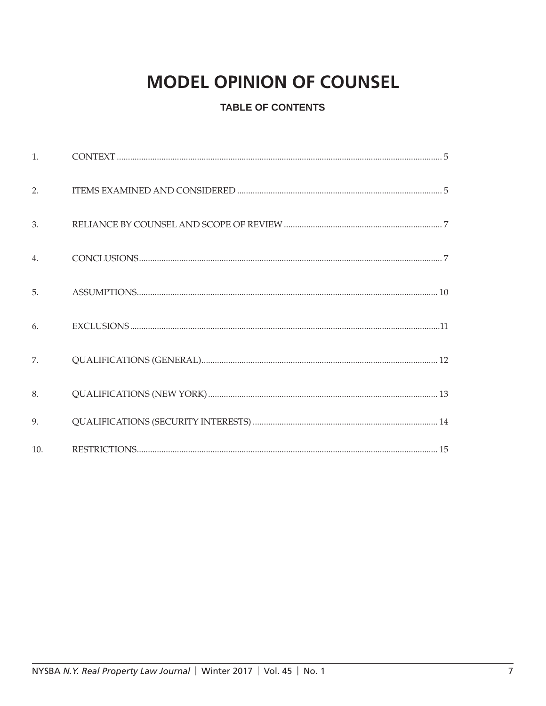# **MODEL OPINION OF COUNSEL**

# **TABLE OF CONTENTS**

| $\mathbf{1}$ . |  |
|----------------|--|
| 2.             |  |
| 3.             |  |
| 4.             |  |
| 5.             |  |
| 6.             |  |
| 7.             |  |
| 8.             |  |
| 9.             |  |
| 10.            |  |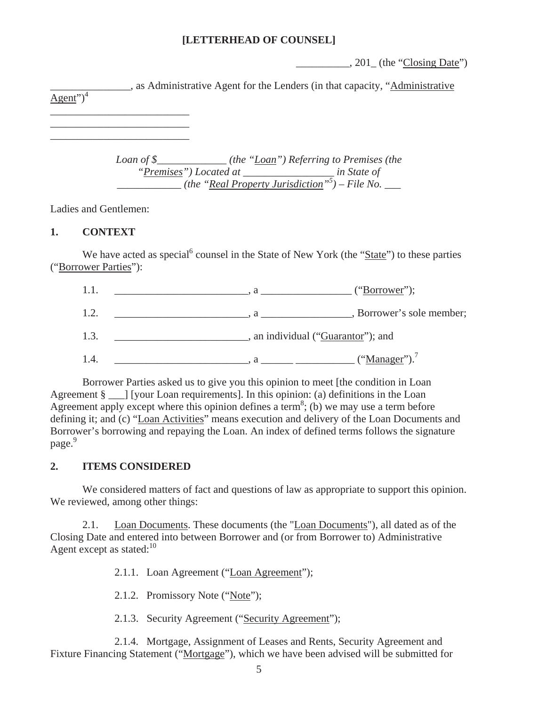## **[LETTERHEAD OF COUNSEL]**

 $\frac{1}{201}$ , 201 $\frac{1}{201}$  (the "Closing Date")

\_\_\_\_\_\_\_\_\_\_\_\_\_\_\_, as Administrative Agent for the Lenders (in that capacity, "Administrative  $\overline{\text{Agent"}}$ <sup>4</sup> \_\_\_\_\_\_\_\_\_\_\_\_\_\_\_\_\_\_\_\_\_\_\_\_\_\_

> *Loan of \$\_\_\_\_\_\_\_\_\_\_\_\_\_ (the "Loan") Referring to Premises (the "Premises") Located at \_\_\_\_\_\_\_\_\_\_\_\_\_\_\_\_\_ in State of \_\_\_\_\_\_\_\_\_\_\_\_ (the "Real Property Jurisdiction"5 ) – File No. \_\_\_*

Ladies and Gentlemen:

\_\_\_\_\_\_\_\_\_\_\_\_\_\_\_\_\_\_\_\_\_\_\_\_\_\_ \_\_\_\_\_\_\_\_\_\_\_\_\_\_\_\_\_\_\_\_\_\_\_\_\_\_

### **1. CONTEXT**

We have acted as special<sup>6</sup> counsel in the State of New York (the "State") to these parties ("Borrower Parties"):

|      | ("Borrower");                      |
|------|------------------------------------|
| 1.2. | , Borrower's sole member;          |
| 1.3. | , an individual ("Guarantor"); and |
|      | ("Manager").                       |

Borrower Parties asked us to give you this opinion to meet [the condition in Loan Agreement § l [your Loan requirements]. In this opinion: (a) definitions in the Loan Agreement apply except where this opinion defines a term<sup>8</sup>; (b) we may use a term before defining it; and (c) "Loan Activities" means execution and delivery of the Loan Documents and Borrower's borrowing and repaying the Loan. An index of defined terms follows the signature page.<sup>9</sup>

## **2. ITEMS CONSIDERED**

We considered matters of fact and questions of law as appropriate to support this opinion. We reviewed, among other things:

2.1. Loan Documents. These documents (the "Loan Documents"), all dated as of the Closing Date and entered into between Borrower and (or from Borrower to) Administrative Agent except as stated: $10<sup>10</sup>$ 

2.1.1. Loan Agreement ("Loan Agreement");

2.1.2. Promissory Note ("Note");

2.1.3. Security Agreement ("Security Agreement");

2.1.4. Mortgage, Assignment of Leases and Rents, Security Agreement and Fixture Financing Statement ("Mortgage"), which we have been advised will be submitted for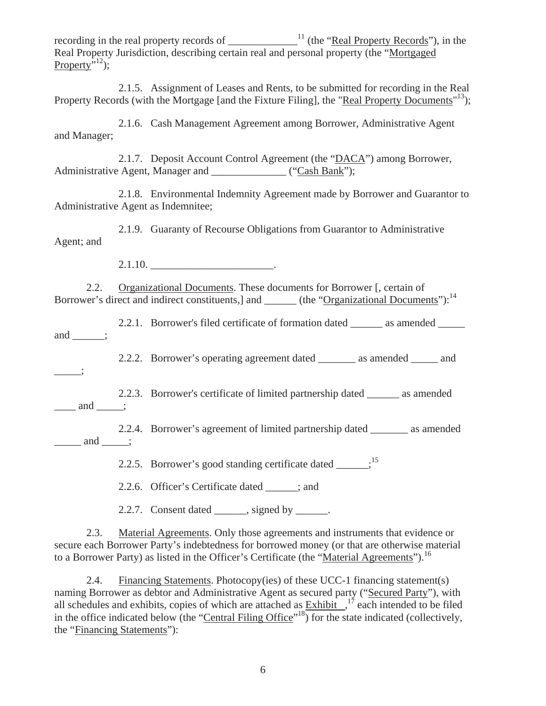recording in the real property records of  $\frac{1}{\text{mean} \cdot \text{mean} \cdot \text{mean} \cdot \text{mean} \cdot \text{mean} \cdot \text{mean} \cdot \text{mean} \cdot \text{mean} \cdot \text{mean} \cdot \text{mean} \cdot \text{mean} \cdot \text{mean} \cdot \text{mean} \cdot \text{mean} \cdot \text{mean} \cdot \text{mean} \cdot \text{mean} \cdot \text{mean} \cdot \text{mean} \cdot \text{mean} \cdot \text{mean} \cdot \text{mean} \cdot \text{mean} \cdot \text{mean} \cdot \text{mean}$ Real Property Jurisdiction, describing certain real and personal property (the "Mortgaged Property $\overline{N}$ <sup>12</sup>);

2.1.5. Assignment of Leases and Rents, to be submitted for recording in the Real Property Records (with the Mortgage [and the Fixture Filing], the "Real Property Documents"<sup>13</sup>);

2.1.6. Cash Management Agreement among Borrower, Administrative Agent and Manager;

2.1.7. Deposit Account Control Agreement (the "DACA") among Borrower, Administrative Agent, Manager and \_\_\_\_\_\_\_\_\_\_\_\_\_\_ ("Cash Bank");

2.1.8. Environmental Indemnity Agreement made by Borrower and Guarantor to Administrative Agent as Indemnitee;

2.1.9. Guaranty of Recourse Obligations from Guarantor to Administrative Agent; and

2.1.10. \_\_\_\_\_\_\_\_\_\_\_\_\_\_\_\_\_\_\_\_\_\_\_.

2.2. Organizational Documents. These documents for Borrower [, certain of Borrower's direct and indirect constituents,] and \_\_\_\_\_\_ (the "Organizational Documents"):<sup>14</sup>

2.2.1. Borrower's filed certificate of formation dated \_\_\_\_\_\_ as amended \_\_\_\_\_ and  $\qquad$ :

2.2.2. Borrower's operating agreement dated \_\_\_\_\_\_\_ as amended \_\_\_\_\_ and

 $\overline{\phantom{a}}$ 

2.2.3. Borrower's certificate of limited partnership dated \_\_\_\_\_\_ as amended  $\frac{\ldots}{\ldots}$  and  $\frac{\ldots}{\ldots}$ ;

2.2.4. Borrower's agreement of limited partnership dated as amended  $\frac{\ldots}{\ldots}$  and  $\ldots$ ;

2.2.5. Borrower's good standing certificate dated  $\cdot$ <sup>15</sup>

2.2.6. Officer's Certificate dated \_\_\_\_\_\_; and

2.2.7. Consent dated  $\_\_\_\$ , signed by  $\_\_\_\_\$ .

2.3. Material Agreements. Only those agreements and instruments that evidence or secure each Borrower Party's indebtedness for borrowed money (or that are otherwise material to a Borrower Party) as listed in the Officer's Certificate (the "Material Agreements").<sup>16</sup>

2.4. Financing Statements. Photocopy(ies) of these UCC-1 financing statement(s) naming Borrower as debtor and Administrative Agent as secured party ("Secured Party"), with all schedules and exhibits, copies of which are attached as  $\frac{Exhibit}{Exhibit}$ ,  $\frac{17}{17}$  each intended to be filed in the office indicated below (the "Central Filing Office"<sup>18</sup>) for the state indicated (collectively, the "Financing Statements"):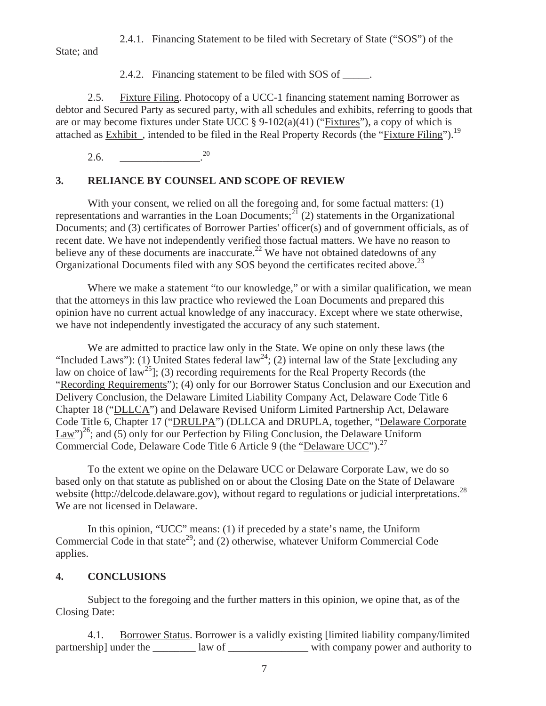2.4.1. Financing Statement to be filed with Secretary of State ("SOS") of the State; and

2.4.2. Financing statement to be filed with SOS of \_\_\_\_\_.

2.5. Fixture Filing. Photocopy of a UCC-1 financing statement naming Borrower as debtor and Secured Party as secured party, with all schedules and exhibits, referring to goods that are or may become fixtures under State UCC  $\S 9-102(a)(41)$  ("Fixtures"), a copy of which is attached as Exhibit, intended to be filed in the Real Property Records (the "Fixture Filing").<sup>19</sup>

 $2.6.$   $^{20}$ 

## **3. RELIANCE BY COUNSEL AND SCOPE OF REVIEW**

With your consent, we relied on all the foregoing and, for some factual matters: (1) representations and warranties in the Loan Documents;<sup>21</sup> (2) statements in the Organizational Documents; and (3) certificates of Borrower Parties' officer(s) and of government officials, as of recent date. We have not independently verified those factual matters. We have no reason to believe any of these documents are inaccurate.<sup>22</sup> We have not obtained datedowns of any Organizational Documents filed with any SOS beyond the certificates recited above.<sup>23</sup>

Where we make a statement "to our knowledge," or with a similar qualification, we mean that the attorneys in this law practice who reviewed the Loan Documents and prepared this opinion have no current actual knowledge of any inaccuracy. Except where we state otherwise, we have not independently investigated the accuracy of any such statement.

We are admitted to practice law only in the State. We opine on only these laws (the "Included Laws"): (1) United States federal law<sup>24</sup>; (2) internal law of the State [excluding any law on choice of law<sup>25</sup>]; (3) recording requirements for the Real Property Records (the "Recording Requirements"); (4) only for our Borrower Status Conclusion and our Execution and Delivery Conclusion, the Delaware Limited Liability Company Act, Delaware Code Title 6 Chapter 18 ("DLLCA") and Delaware Revised Uniform Limited Partnership Act, Delaware Code Title 6, Chapter 17 ("DRULPA") (DLLCA and DRUPLA, together, "Delaware Corporate Law")<sup>26</sup>; and (5) only for our Perfection by Filing Conclusion, the Delaware Uniform Commercial Code, Delaware Code Title 6 Article 9 (the "Delaware UCC").<sup>27</sup>

To the extent we opine on the Delaware UCC or Delaware Corporate Law, we do so based only on that statute as published on or about the Closing Date on the State of Delaware website (http://delcode.delaware.gov), without regard to regulations or judicial interpretations.<sup>28</sup> We are not licensed in Delaware.

In this opinion, "UCC" means: (1) if preceded by a state's name, the Uniform Commercial Code in that state<sup>29</sup>; and (2) otherwise, whatever Uniform Commercial Code applies.

## **4. CONCLUSIONS**

Subject to the foregoing and the further matters in this opinion, we opine that, as of the Closing Date:

4.1. Borrower Status. Borrower is a validly existing [limited liability company/limited partnership] under the law of law of with company power and authority to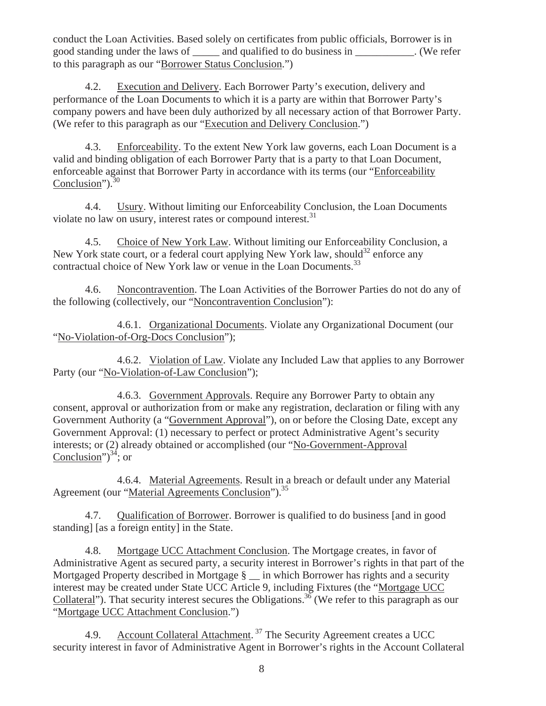conduct the Loan Activities. Based solely on certificates from public officials, Borrower is in good standing under the laws of \_\_\_\_\_ and qualified to do business in \_\_\_\_\_\_\_\_\_\_\_. (We refer to this paragraph as our "Borrower Status Conclusion.")

4.2. Execution and Delivery. Each Borrower Party's execution, delivery and performance of the Loan Documents to which it is a party are within that Borrower Party's company powers and have been duly authorized by all necessary action of that Borrower Party. (We refer to this paragraph as our "Execution and Delivery Conclusion.")

4.3. Enforceability. To the extent New York law governs, each Loan Document is a valid and binding obligation of each Borrower Party that is a party to that Loan Document, enforceable against that Borrower Party in accordance with its terms (our "Enforceability Conclusion"). $30$ 

4.4. Usury. Without limiting our Enforceability Conclusion, the Loan Documents violate no law on usury, interest rates or compound interest.<sup>31</sup>

4.5. Choice of New York Law. Without limiting our Enforceability Conclusion, a New York state court, or a federal court applying New York law, should<sup>32</sup> enforce any contractual choice of New York law or venue in the Loan Documents.<sup>33</sup>

4.6. Noncontravention. The Loan Activities of the Borrower Parties do not do any of the following (collectively, our "Noncontravention Conclusion"):

4.6.1. Organizational Documents. Violate any Organizational Document (our "No-Violation-of-Org-Docs Conclusion");

4.6.2. Violation of Law. Violate any Included Law that applies to any Borrower Party (our "No-Violation-of-Law Conclusion");

4.6.3. Government Approvals. Require any Borrower Party to obtain any consent, approval or authorization from or make any registration, declaration or filing with any Government Authority (a "Government Approval"), on or before the Closing Date, except any Government Approval: (1) necessary to perfect or protect Administrative Agent's security interests; or (2) already obtained or accomplished (our "No-Government-Approval Conclusion") $34$ ; or

4.6.4. Material Agreements. Result in a breach or default under any Material Agreement (our "Material Agreements Conclusion").<sup>35</sup>

4.7. Qualification of Borrower. Borrower is qualified to do business [and in good standing] [as a foreign entity] in the State.

4.8. Mortgage UCC Attachment Conclusion. The Mortgage creates, in favor of Administrative Agent as secured party, a security interest in Borrower's rights in that part of the Mortgaged Property described in Mortgage § \_\_ in which Borrower has rights and a security interest may be created under State UCC Article 9, including Fixtures (the "Mortgage UCC Collateral"). That security interest secures the Obligations.<sup>36</sup> (We refer to this paragraph as our "Mortgage UCC Attachment Conclusion.")

4.9. Account Collateral Attachment.<sup>37</sup> The Security Agreement creates a UCC security interest in favor of Administrative Agent in Borrower's rights in the Account Collateral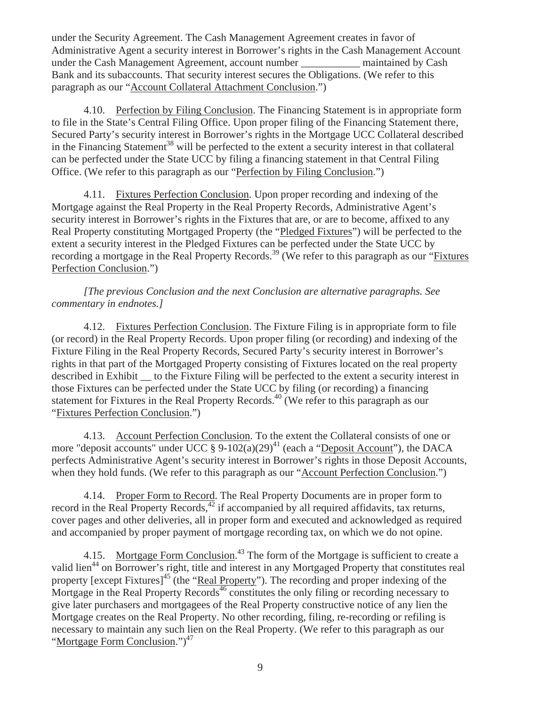under the Security Agreement. The Cash Management Agreement creates in favor of Administrative Agent a security interest in Borrower's rights in the Cash Management Account under the Cash Management Agreement, account number \_\_\_\_\_\_\_\_\_\_\_ maintained by Cash Bank and its subaccounts. That security interest secures the Obligations. (We refer to this paragraph as our "Account Collateral Attachment Conclusion.")

4.10. Perfection by Filing Conclusion. The Financing Statement is in appropriate form to file in the State's Central Filing Office. Upon proper filing of the Financing Statement there, Secured Party's security interest in Borrower's rights in the Mortgage UCC Collateral described in the Financing Statement<sup>38</sup> will be perfected to the extent a security interest in that collateral can be perfected under the State UCC by filing a financing statement in that Central Filing Office. (We refer to this paragraph as our "Perfection by Filing Conclusion.")

4.11. Fixtures Perfection Conclusion. Upon proper recording and indexing of the Mortgage against the Real Property in the Real Property Records, Administrative Agent's security interest in Borrower's rights in the Fixtures that are, or are to become, affixed to any Real Property constituting Mortgaged Property (the "Pledged Fixtures") will be perfected to the extent a security interest in the Pledged Fixtures can be perfected under the State UCC by recording a mortgage in the Real Property Records.<sup>39</sup> (We refer to this paragraph as our "Fixtures" Perfection Conclusion.")

*[The previous Conclusion and the next Conclusion are alternative paragraphs. See commentary in endnotes.]* 

4.12. Fixtures Perfection Conclusion. The Fixture Filing is in appropriate form to file (or record) in the Real Property Records. Upon proper filing (or recording) and indexing of the Fixture Filing in the Real Property Records, Secured Party's security interest in Borrower's rights in that part of the Mortgaged Property consisting of Fixtures located on the real property described in Exhibit to the Fixture Filing will be perfected to the extent a security interest in those Fixtures can be perfected under the State UCC by filing (or recording) a financing statement for Fixtures in the Real Property Records.<sup>40</sup> (We refer to this paragraph as our "Fixtures Perfection Conclusion.")

4.13. Account Perfection Conclusion. To the extent the Collateral consists of one or more "deposit accounts" under UCC  $\S 9-102(a)(29)^{41}$  (each a "Deposit Account"), the DACA perfects Administrative Agent's security interest in Borrower's rights in those Deposit Accounts, when they hold funds. (We refer to this paragraph as our "Account Perfection Conclusion.")

4.14. Proper Form to Record. The Real Property Documents are in proper form to record in the Real Property Records, $42$  if accompanied by all required affidavits, tax returns, cover pages and other deliveries, all in proper form and executed and acknowledged as required and accompanied by proper payment of mortgage recording tax, on which we do not opine.

4.15. Mortgage Form Conclusion.<sup>43</sup> The form of the Mortgage is sufficient to create a valid lien<sup>44</sup> on Borrower's right, title and interest in any Mortgaged Property that constitutes real property [except Fixtures]<sup>45</sup> (the "Real Property"). The recording and proper indexing of the Mortgage in the Real Property Records<sup>46</sup> constitutes the only filing or recording necessary to give later purchasers and mortgagees of the Real Property constructive notice of any lien the Mortgage creates on the Real Property. No other recording, filing, re-recording or refiling is necessary to maintain any such lien on the Real Property. (We refer to this paragraph as our "Mortgage Form Conclusion.")<sup>47</sup>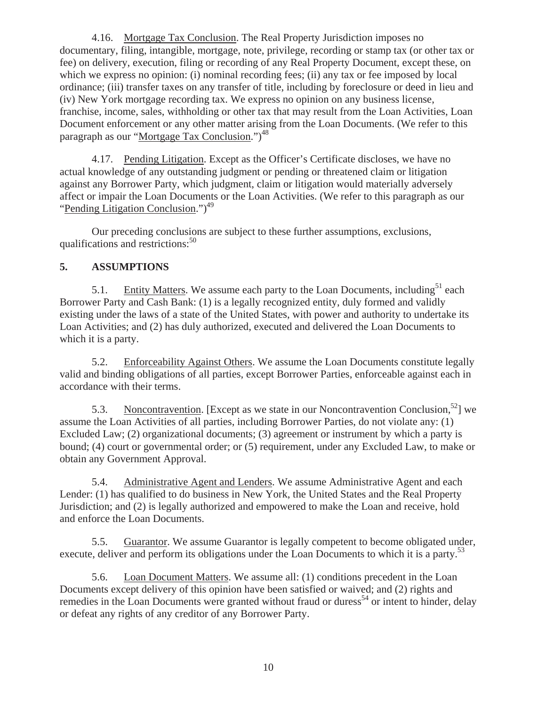4.16. Mortgage Tax Conclusion. The Real Property Jurisdiction imposes no documentary, filing, intangible, mortgage, note, privilege, recording or stamp tax (or other tax or fee) on delivery, execution, filing or recording of any Real Property Document, except these, on which we express no opinion: (i) nominal recording fees; (ii) any tax or fee imposed by local ordinance; (iii) transfer taxes on any transfer of title, including by foreclosure or deed in lieu and (iv) New York mortgage recording tax. We express no opinion on any business license, franchise, income, sales, withholding or other tax that may result from the Loan Activities, Loan Document enforcement or any other matter arising from the Loan Documents. (We refer to this paragraph as our "Mortgage Tax Conclusion.")<sup>48</sup>

4.17. Pending Litigation. Except as the Officer's Certificate discloses, we have no actual knowledge of any outstanding judgment or pending or threatened claim or litigation against any Borrower Party, which judgment, claim or litigation would materially adversely affect or impair the Loan Documents or the Loan Activities. (We refer to this paragraph as our "Pending Litigation Conclusion."<sup>49</sup>

Our preceding conclusions are subject to these further assumptions, exclusions, qualifications and restrictions: $50$ 

## **5. ASSUMPTIONS**

5.1. Entity Matters. We assume each party to the Loan Documents, including<sup>51</sup> each Borrower Party and Cash Bank: (1) is a legally recognized entity, duly formed and validly existing under the laws of a state of the United States, with power and authority to undertake its Loan Activities; and (2) has duly authorized, executed and delivered the Loan Documents to which it is a party.

5.2. Enforceability Against Others. We assume the Loan Documents constitute legally valid and binding obligations of all parties, except Borrower Parties, enforceable against each in accordance with their terms.

5.3. Noncontravention. [Except as we state in our Noncontravention Conclusion,  $52$ ] we assume the Loan Activities of all parties, including Borrower Parties, do not violate any: (1) Excluded Law; (2) organizational documents; (3) agreement or instrument by which a party is bound; (4) court or governmental order; or (5) requirement, under any Excluded Law, to make or obtain any Government Approval.

5.4. Administrative Agent and Lenders. We assume Administrative Agent and each Lender: (1) has qualified to do business in New York, the United States and the Real Property Jurisdiction; and (2) is legally authorized and empowered to make the Loan and receive, hold and enforce the Loan Documents.

5.5. Guarantor. We assume Guarantor is legally competent to become obligated under, execute, deliver and perform its obligations under the Loan Documents to which it is a party.<sup>53</sup>

5.6. Loan Document Matters. We assume all: (1) conditions precedent in the Loan Documents except delivery of this opinion have been satisfied or waived; and (2) rights and remedies in the Loan Documents were granted without fraud or duress<sup>54</sup> or intent to hinder, delay or defeat any rights of any creditor of any Borrower Party.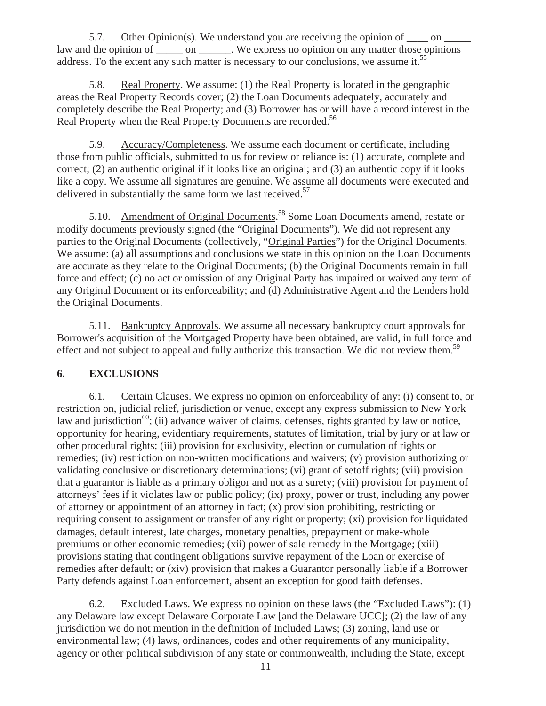5.7. Other Opinion(s). We understand you are receiving the opinion of  $\_\_\_$  on  $\_\_\_$ law and the opinion of on We express no opinion on any matter those opinions address. To the extent any such matter is necessary to our conclusions, we assume it.<sup>55</sup>

5.8. Real Property. We assume: (1) the Real Property is located in the geographic areas the Real Property Records cover; (2) the Loan Documents adequately, accurately and completely describe the Real Property; and (3) Borrower has or will have a record interest in the Real Property when the Real Property Documents are recorded.<sup>56</sup>

5.9. Accuracy/Completeness. We assume each document or certificate, including those from public officials, submitted to us for review or reliance is: (1) accurate, complete and correct; (2) an authentic original if it looks like an original; and (3) an authentic copy if it looks like a copy. We assume all signatures are genuine. We assume all documents were executed and delivered in substantially the same form we last received.<sup>57</sup>

5.10. Amendment of Original Documents.<sup>58</sup> Some Loan Documents amend, restate or modify documents previously signed (the "Original Documents"). We did not represent any parties to the Original Documents (collectively, "Original Parties") for the Original Documents. We assume: (a) all assumptions and conclusions we state in this opinion on the Loan Documents are accurate as they relate to the Original Documents; (b) the Original Documents remain in full force and effect; (c) no act or omission of any Original Party has impaired or waived any term of any Original Document or its enforceability; and (d) Administrative Agent and the Lenders hold the Original Documents.

5.11. Bankruptcy Approvals. We assume all necessary bankruptcy court approvals for Borrower's acquisition of the Mortgaged Property have been obtained, are valid, in full force and effect and not subject to appeal and fully authorize this transaction. We did not review them.<sup>59</sup>

# **6. EXCLUSIONS**

6.1. Certain Clauses. We express no opinion on enforceability of any: (i) consent to, or restriction on, judicial relief, jurisdiction or venue, except any express submission to New York law and jurisdiction<sup>60</sup>; (ii) advance waiver of claims, defenses, rights granted by law or notice, opportunity for hearing, evidentiary requirements, statutes of limitation, trial by jury or at law or other procedural rights; (iii) provision for exclusivity, election or cumulation of rights or remedies; (iv) restriction on non-written modifications and waivers; (v) provision authorizing or validating conclusive or discretionary determinations; (vi) grant of setoff rights; (vii) provision that a guarantor is liable as a primary obligor and not as a surety; (viii) provision for payment of attorneys' fees if it violates law or public policy; (ix) proxy, power or trust, including any power of attorney or appointment of an attorney in fact; (x) provision prohibiting, restricting or requiring consent to assignment or transfer of any right or property; (xi) provision for liquidated damages, default interest, late charges, monetary penalties, prepayment or make-whole premiums or other economic remedies; (xii) power of sale remedy in the Mortgage; (xiii) provisions stating that contingent obligations survive repayment of the Loan or exercise of remedies after default; or (xiv) provision that makes a Guarantor personally liable if a Borrower Party defends against Loan enforcement, absent an exception for good faith defenses.

6.2. Excluded Laws. We express no opinion on these laws (the "Excluded Laws"): (1) any Delaware law except Delaware Corporate Law [and the Delaware UCC]; (2) the law of any jurisdiction we do not mention in the definition of Included Laws; (3) zoning, land use or environmental law; (4) laws, ordinances, codes and other requirements of any municipality, agency or other political subdivision of any state or commonwealth, including the State, except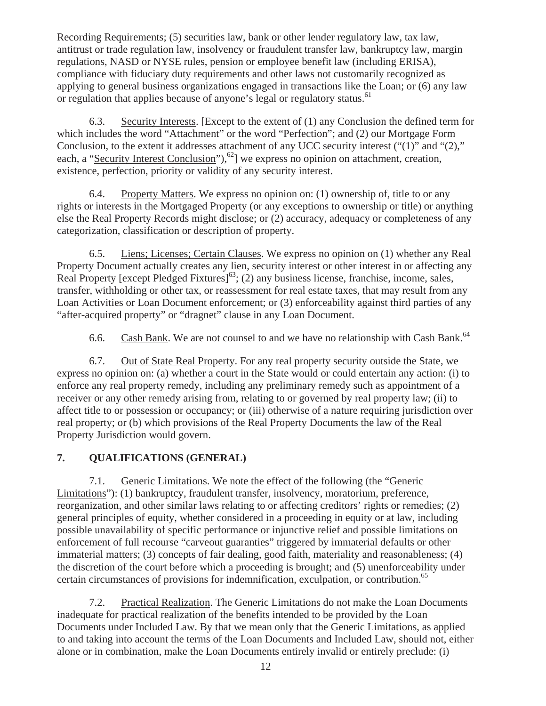Recording Requirements; (5) securities law, bank or other lender regulatory law, tax law, antitrust or trade regulation law, insolvency or fraudulent transfer law, bankruptcy law, margin regulations, NASD or NYSE rules, pension or employee benefit law (including ERISA), compliance with fiduciary duty requirements and other laws not customarily recognized as applying to general business organizations engaged in transactions like the Loan; or (6) any law or regulation that applies because of anyone's legal or regulatory status.<sup>61</sup>

6.3. Security Interests. [Except to the extent of (1) any Conclusion the defined term for which includes the word "Attachment" or the word "Perfection"; and (2) our Mortgage Form Conclusion, to the extent it addresses attachment of any UCC security interest ("(1)" and "(2)," each, a "Security Interest Conclusion"),  $^{62}$ ] we express no opinion on attachment, creation, existence, perfection, priority or validity of any security interest.

6.4. Property Matters. We express no opinion on: (1) ownership of, title to or any rights or interests in the Mortgaged Property (or any exceptions to ownership or title) or anything else the Real Property Records might disclose; or (2) accuracy, adequacy or completeness of any categorization, classification or description of property.

6.5. Liens; Licenses; Certain Clauses. We express no opinion on (1) whether any Real Property Document actually creates any lien, security interest or other interest in or affecting any Real Property [except Pledged Fixtures]<sup>63</sup>; (2) any business license, franchise, income, sales, transfer, withholding or other tax, or reassessment for real estate taxes, that may result from any Loan Activities or Loan Document enforcement; or (3) enforceability against third parties of any "after-acquired property" or "dragnet" clause in any Loan Document.

6.6. Cash Bank. We are not counsel to and we have no relationship with Cash Bank.<sup>64</sup>

6.7. Out of State Real Property. For any real property security outside the State, we express no opinion on: (a) whether a court in the State would or could entertain any action: (i) to enforce any real property remedy, including any preliminary remedy such as appointment of a receiver or any other remedy arising from, relating to or governed by real property law; (ii) to affect title to or possession or occupancy; or (iii) otherwise of a nature requiring jurisdiction over real property; or (b) which provisions of the Real Property Documents the law of the Real Property Jurisdiction would govern.

# **7. QUALIFICATIONS (GENERAL)**

7.1. Generic Limitations. We note the effect of the following (the "Generic Limitations"): (1) bankruptcy, fraudulent transfer, insolvency, moratorium, preference, reorganization, and other similar laws relating to or affecting creditors' rights or remedies; (2) general principles of equity, whether considered in a proceeding in equity or at law, including possible unavailability of specific performance or injunctive relief and possible limitations on enforcement of full recourse "carveout guaranties" triggered by immaterial defaults or other immaterial matters; (3) concepts of fair dealing, good faith, materiality and reasonableness; (4) the discretion of the court before which a proceeding is brought; and (5) unenforceability under certain circumstances of provisions for indemnification, exculpation, or contribution.<sup>65</sup>

7.2. Practical Realization. The Generic Limitations do not make the Loan Documents inadequate for practical realization of the benefits intended to be provided by the Loan Documents under Included Law. By that we mean only that the Generic Limitations, as applied to and taking into account the terms of the Loan Documents and Included Law, should not, either alone or in combination, make the Loan Documents entirely invalid or entirely preclude: (i)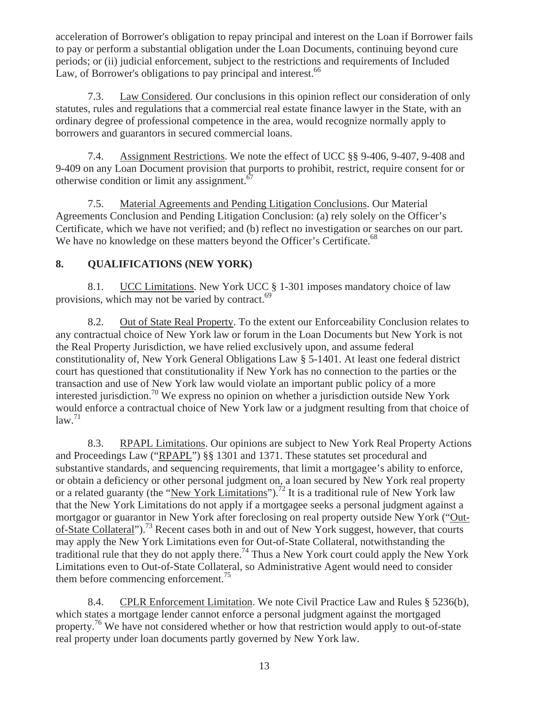acceleration of Borrower's obligation to repay principal and interest on the Loan if Borrower fails to pay or perform a substantial obligation under the Loan Documents, continuing beyond cure periods; or (ii) judicial enforcement, subject to the restrictions and requirements of Included Law, of Borrower's obligations to pay principal and interest.<sup>66</sup>

7.3. Law Considered. Our conclusions in this opinion reflect our consideration of only statutes, rules and regulations that a commercial real estate finance lawyer in the State, with an ordinary degree of professional competence in the area, would recognize normally apply to borrowers and guarantors in secured commercial loans.

7.4. Assignment Restrictions. We note the effect of UCC §§ 9-406, 9-407, 9-408 and 9-409 on any Loan Document provision that purports to prohibit, restrict, require consent for or otherwise condition or limit any assignment.<sup>67</sup>

7.5. Material Agreements and Pending Litigation Conclusions. Our Material Agreements Conclusion and Pending Litigation Conclusion: (a) rely solely on the Officer's Certificate, which we have not verified; and (b) reflect no investigation or searches on our part. We have no knowledge on these matters beyond the Officer's Certificate.<sup>68</sup>

# **8. QUALIFICATIONS (NEW YORK)**

8.1. UCC Limitations. New York UCC § 1-301 imposes mandatory choice of law provisions, which may not be varied by contract.<sup>69</sup>

8.2. Out of State Real Property. To the extent our Enforceability Conclusion relates to any contractual choice of New York law or forum in the Loan Documents but New York is not the Real Property Jurisdiction, we have relied exclusively upon, and assume federal constitutionality of, New York General Obligations Law § 5-1401. At least one federal district court has questioned that constitutionality if New York has no connection to the parties or the transaction and use of New York law would violate an important public policy of a more interested jurisdiction.70 We express no opinion on whether a jurisdiction outside New York would enforce a contractual choice of New York law or a judgment resulting from that choice of  $law.<sup>71</sup>$ 

8.3. RPAPL Limitations. Our opinions are subject to New York Real Property Actions and Proceedings Law ("RPAPL") §§ 1301 and 1371. These statutes set procedural and substantive standards, and sequencing requirements, that limit a mortgagee's ability to enforce, or obtain a deficiency or other personal judgment on, a loan secured by New York real property or a related guaranty (the "New York Limitations").<sup>72</sup> It is a traditional rule of New York law that the New York Limitations do not apply if a mortgagee seeks a personal judgment against a mortgagor or guarantor in New York after foreclosing on real property outside New York ("Outof-State Collateral").73 Recent cases both in and out of New York suggest, however, that courts may apply the New York Limitations even for Out-of-State Collateral, notwithstanding the traditional rule that they do not apply there.74 Thus a New York court could apply the New York Limitations even to Out-of-State Collateral, so Administrative Agent would need to consider them before commencing enforcement.<sup>75</sup>

8.4. CPLR Enforcement Limitation. We note Civil Practice Law and Rules § 5236(b), which states a mortgage lender cannot enforce a personal judgment against the mortgaged property.<sup>76</sup> We have not considered whether or how that restriction would apply to out-of-state real property under loan documents partly governed by New York law.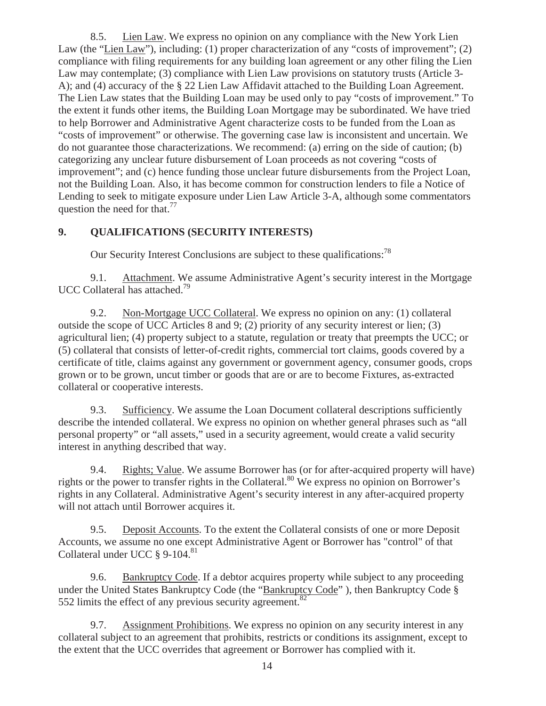8.5. Lien Law. We express no opinion on any compliance with the New York Lien Law (the "Lien Law"), including: (1) proper characterization of any "costs of improvement"; (2) compliance with filing requirements for any building loan agreement or any other filing the Lien Law may contemplate; (3) compliance with Lien Law provisions on statutory trusts (Article 3- A); and (4) accuracy of the § 22 Lien Law Affidavit attached to the Building Loan Agreement. The Lien Law states that the Building Loan may be used only to pay "costs of improvement." To the extent it funds other items, the Building Loan Mortgage may be subordinated. We have tried to help Borrower and Administrative Agent characterize costs to be funded from the Loan as "costs of improvement" or otherwise. The governing case law is inconsistent and uncertain. We do not guarantee those characterizations. We recommend: (a) erring on the side of caution; (b) categorizing any unclear future disbursement of Loan proceeds as not covering "costs of improvement"; and (c) hence funding those unclear future disbursements from the Project Loan, not the Building Loan. Also, it has become common for construction lenders to file a Notice of Lending to seek to mitigate exposure under Lien Law Article 3-A, although some commentators question the need for that.<sup>77</sup>

## **9. QUALIFICATIONS (SECURITY INTERESTS)**

Our Security Interest Conclusions are subject to these qualifications:<sup>78</sup>

9.1. Attachment. We assume Administrative Agent's security interest in the Mortgage UCC Collateral has attached.<sup>79</sup>

9.2. Non-Mortgage UCC Collateral. We express no opinion on any: (1) collateral outside the scope of UCC Articles 8 and 9; (2) priority of any security interest or lien; (3) agricultural lien; (4) property subject to a statute, regulation or treaty that preempts the UCC; or (5) collateral that consists of letter-of-credit rights, commercial tort claims, goods covered by a certificate of title, claims against any government or government agency, consumer goods, crops grown or to be grown, uncut timber or goods that are or are to become Fixtures, as-extracted collateral or cooperative interests.

9.3. Sufficiency. We assume the Loan Document collateral descriptions sufficiently describe the intended collateral. We express no opinion on whether general phrases such as "all personal property" or "all assets," used in a security agreement, would create a valid security interest in anything described that way.

9.4. Rights; Value. We assume Borrower has (or for after-acquired property will have) rights or the power to transfer rights in the Collateral.<sup>80</sup> We express no opinion on Borrower's rights in any Collateral. Administrative Agent's security interest in any after-acquired property will not attach until Borrower acquires it.

9.5. Deposit Accounts. To the extent the Collateral consists of one or more Deposit Accounts, we assume no one except Administrative Agent or Borrower has "control" of that Collateral under UCC § 9-104.<sup>81</sup>

9.6. Bankruptcy Code. If a debtor acquires property while subject to any proceeding under the United States Bankruptcy Code (the "Bankruptcy Code"), then Bankruptcy Code § 552 limits the effect of any previous security agreement. $82$ 

9.7. Assignment Prohibitions. We express no opinion on any security interest in any collateral subject to an agreement that prohibits, restricts or conditions its assignment, except to the extent that the UCC overrides that agreement or Borrower has complied with it.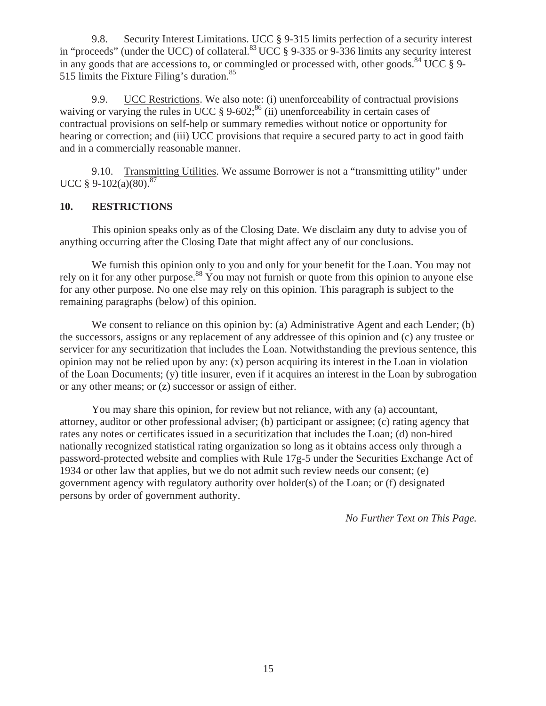9.8. Security Interest Limitations. UCC § 9-315 limits perfection of a security interest in "proceeds" (under the UCC) of collateral.<sup>83</sup> UCC § 9-335 or 9-336 limits any security interest in any goods that are accessions to, or commingled or processed with, other goods.<sup>84</sup> UCC  $\S$  9-515 limits the Fixture Filing's duration.<sup>85</sup>

9.9. UCC Restrictions. We also note: (i) unenforceability of contractual provisions waiving or varying the rules in UCC  $\S 9-602$ ;  $^{86}$  (ii) unenforceability in certain cases of contractual provisions on self-help or summary remedies without notice or opportunity for hearing or correction; and (iii) UCC provisions that require a secured party to act in good faith and in a commercially reasonable manner.

9.10. Transmitting Utilities. We assume Borrower is not a "transmitting utility" under UCC  $§$  9-102(a)(80).<sup>87</sup>

# **10. RESTRICTIONS**

This opinion speaks only as of the Closing Date. We disclaim any duty to advise you of anything occurring after the Closing Date that might affect any of our conclusions.

We furnish this opinion only to you and only for your benefit for the Loan. You may not rely on it for any other purpose.<sup>88</sup> You may not furnish or quote from this opinion to anyone else for any other purpose. No one else may rely on this opinion. This paragraph is subject to the remaining paragraphs (below) of this opinion.

We consent to reliance on this opinion by: (a) Administrative Agent and each Lender; (b) the successors, assigns or any replacement of any addressee of this opinion and (c) any trustee or servicer for any securitization that includes the Loan. Notwithstanding the previous sentence, this opinion may not be relied upon by any: (x) person acquiring its interest in the Loan in violation of the Loan Documents; (y) title insurer, even if it acquires an interest in the Loan by subrogation or any other means; or (z) successor or assign of either.

You may share this opinion, for review but not reliance, with any (a) accountant, attorney, auditor or other professional adviser; (b) participant or assignee; (c) rating agency that rates any notes or certificates issued in a securitization that includes the Loan; (d) non-hired nationally recognized statistical rating organization so long as it obtains access only through a password-protected website and complies with Rule 17g-5 under the Securities Exchange Act of 1934 or other law that applies, but we do not admit such review needs our consent; (e) government agency with regulatory authority over holder(s) of the Loan; or (f) designated persons by order of government authority.

*No Further Text on This Page.*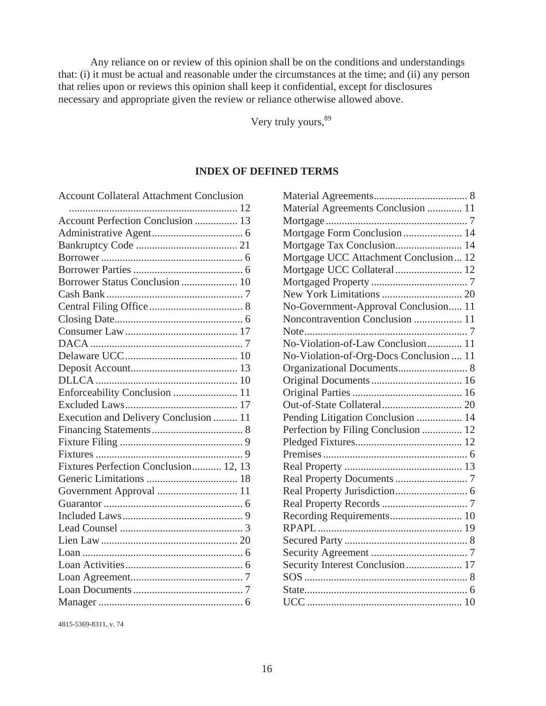Any reliance on or review of this opinion shall be on the conditions and understandings that: (i) it must be actual and reasonable under the circumstances at the time; and (ii) any person that relies upon or reviews this opinion shall keep it confidential, except for disclosures necessary and appropriate given the review or reliance otherwise allowed above.

Very truly yours,  $89$ 

#### **INDEX OF DEFINED TERMS**

| <b>Account Collateral Attachment Conclusion</b> |
|-------------------------------------------------|
|                                                 |
| Account Perfection Conclusion  13               |
|                                                 |
|                                                 |
|                                                 |
|                                                 |
| Borrower Status Conclusion  10                  |
|                                                 |
|                                                 |
|                                                 |
|                                                 |
|                                                 |
|                                                 |
|                                                 |
|                                                 |
| Enforceability Conclusion  11                   |
|                                                 |
| Execution and Delivery Conclusion  11           |
|                                                 |
|                                                 |
|                                                 |
| Fixtures Perfection Conclusion 12, 13           |
|                                                 |
|                                                 |
|                                                 |
|                                                 |
|                                                 |
|                                                 |
|                                                 |
|                                                 |
|                                                 |
|                                                 |
|                                                 |

4815-5369-8311, v. 74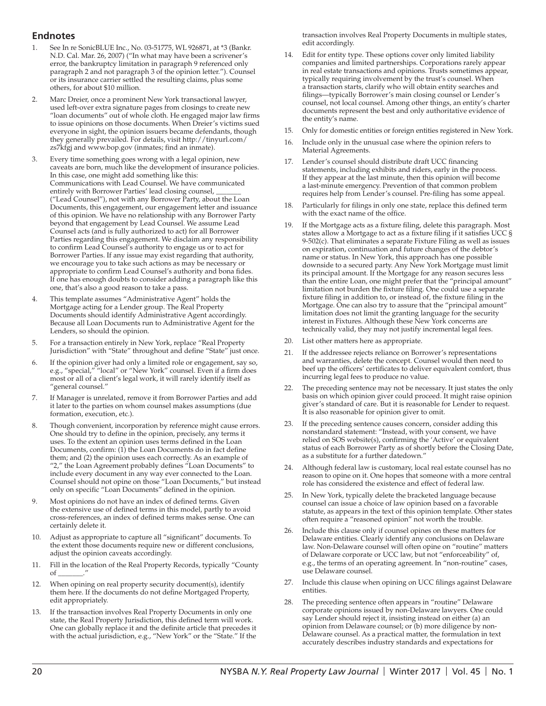## **Endnotes**

- 1. See In re SonicBLUE Inc., No. 03-51775, WL 926871, at \*3 (Bankr. N.D. Cal. Mar. 26, 2007) ("In what may have been a scrivener's error, the bankruptcy limitation in paragraph 9 referenced only paragraph 2 and not paragraph 3 of the opinion letter."). Counsel or its insurance carrier settled the resulting claims, plus some others, for about \$10 million.
- 2. Marc Dreier, once a prominent New York transactional lawyer, used left-over extra signature pages from closings to create new "loan documents" out of whole cloth. He engaged major law firms to issue opinions on those documents. When Dreier's victims sued everyone in sight, the opinion issuers became defendants, though they generally prevailed. For details, visit http://tinyurl.com/ zs7kfgj and www.bop.gov (inmates; find an inmate).
- 3. Every time something goes wrong with a legal opinion, new caveats are born, much like the development of insurance policies. In this case, one might add something like this: Communications with Lead Counsel. We have communicated entirely with Borrower Parties' lead closing counsel, ("Lead Counsel"), not with any Borrower Party, about the Loan Documents, this engagement, our engagement letter and issuance of this opinion. We have no relationship with any Borrower Party beyond that engagement by Lead Counsel. We assume Lead Counsel acts (and is fully authorized to act) for all Borrower Parties regarding this engagement. We disclaim any responsibility to confirm Lead Counsel's authority to engage us or to act for Borrower Parties. If any issue may exist regarding that authority, we encourage you to take such actions as may be necessary or appropriate to confirm Lead Counsel's authority and bona fides. If one has enough doubts to consider adding a paragraph like this one, that's also a good reason to take a pass.
- 4. This template assumes "Administrative Agent" holds the Mortgage acting for a Lender group. The Real Property Documents should identify Administrative Agent accordingly. Because all Loan Documents run to Administrative Agent for the Lenders, so should the opinion.
- 5. For a transaction entirely in New York, replace "Real Property Jurisdiction" with "State" throughout and define "State" just once.
- 6. If the opinion giver had only a limited role or engagement, say so, e.g.*, "*special," "local" or "New York" counsel. Even if a firm does most or all of a client's legal work, it will rarely identify itself as "general counsel."
- 7. If Manager is unrelated, remove it from Borrower Parties and add it later to the parties on whom counsel makes assumptions (due formation, execution, etc.).
- Though convenient, incorporation by reference might cause errors. One should try to define in the opinion, precisely, any terms it uses. To the extent an opinion uses terms defined in the Loan Documents, confirm:  $(1)$  the Loan Documents do in fact define them; and (2) the opinion uses each correctly. As an example of "2," the Loan Agreement probably defines "Loan Documents" to include every document in any way ever connected to the Loan. Counsel should not opine on those "Loan Documents," but instead only on specific "Loan Documents" defined in the opinion.
- 9. Most opinions do not have an index of defined terms. Given the extensive use of defined terms in this model, partly to avoid cross-references, an index of defined terms makes sense. One can certainly delete it.
- 10. Adjust as appropriate to capture all "significant" documents. To the extent those documents require new or different conclusions, adjust the opinion caveats accordingly.
- 11. Fill in the location of the Real Property Records, typically "County  $\alpha$  f
- 12. When opining on real property security document(s), identify them here. If the documents do not define Mortgaged Property, edit appropriately.
- 13. If the transaction involves Real Property Documents in only one state, the Real Property Jurisdiction, this defined term will work. One can globally replace it and the definite article that precedes it with the actual jurisdiction, e.g., "New York" or the "State." If the

transaction involves Real Property Documents in multiple states, edit accordingly.

- 14. Edit for entity type. These options cover only limited liability companies and limited partnerships. Corporations rarely appear in real estate transactions and opinions. Trusts sometimes appear, typically requiring involvement by the trust's counsel. When a transaction starts, clarify who will obtain entity searches and filings—typically Borrower's main closing counsel or Lender's counsel, not local counsel. Among other things, an entity's charter documents represent the best and only authoritative evidence of the entity's name.
- 15. Only for domestic entities or foreign entities registered in New York.
- 16. Include only in the unusual case where the opinion refers to Material Agreements.
- 17. Lender's counsel should distribute draft UCC financing statements, including exhibits and riders, early in the process. If they appear at the last minute, then this opinion will become a last-minute emergency. Prevention of that common problem requires help from Lender's counsel. Pre-filing has some appeal.
- 18. Particularly for filings in only one state, replace this defined term with the exact name of the office.
- 19. If the Mortgage acts as a fixture filing, delete this paragraph. Most states allow a Mortgage to act as a fixture filing if it satisfies UCC § 9-502(c). That eliminates a separate Fixture Filing as well as issues on expiration, continuation and future changes of the debtor's name or status. In New York, this approach has one possible downside to a secured party. Any New York Mortgage must limit its principal amount. If the Mortgage for any reason secures less than the entire Loan, one might prefer that the "principal amount" limitation not burden the fixture filing. One could use a separate fixture filing in addition to, or instead of, the fixture filing in the Mortgage. One can also try to assure that the "principal amount" limitation does not limit the granting language for the security interest in Fixtures. Although these New York concerns are technically valid, they may not justify incremental legal fees.
- 20. List other matters here as appropriate.
- 21. If the addressee rejects reliance on Borrower's representations and warranties, delete the concept. Counsel would then need to beef up the officers' certificates to deliver equivalent comfort, thus incurring legal fees to produce no value.
- The preceding sentence may not be necessary. It just states the only basis on which opinion giver could proceed. It might raise opinion giver's standard of care. But it is reasonable for Lender to request. It is also reasonable for opinion giver to omit.
- 23. If the preceding sentence causes concern, consider adding this nonstandard statement: "Instead, with your consent, we have relied on SOS website(s), confirming the 'Active' or equivalent status of each Borrower Party as of shortly before the Closing Date, as a substitute for a further datedown."
- 24. Although federal law is customary, local real estate counsel has no reason to opine on it. One hopes that someone with a more central role has considered the existence and effect of federal law.
- 25. In New York, typically delete the bracketed language because counsel can issue a choice of law opinion based on a favorable statute, as appears in the text of this opinion template. Other states often require a "reasoned opinion" not worth the trouble.
- 26. Include this clause only if counsel opines on these matters for Delaware entities. Clearly identify any conclusions on Delaware law. Non-Delaware counsel will often opine on "routine" matters of Delaware corporate or UCC law, but not "enforceability" of, e.g., the terms of an operating agreement. In "non-routine" cases, use Delaware counsel.
- 27. Include this clause when opining on UCC filings against Delaware entities.
- 28. The preceding sentence often appears in "routine" Delaware corporate opinions issued by non-Delaware lawyers. One could say Lender should reject it, insisting instead on either (a) an opinion from Delaware counsel; or (b) more diligence by non-Delaware counsel. As a practical matter, the formulation in text accurately describes industry standards and expectations for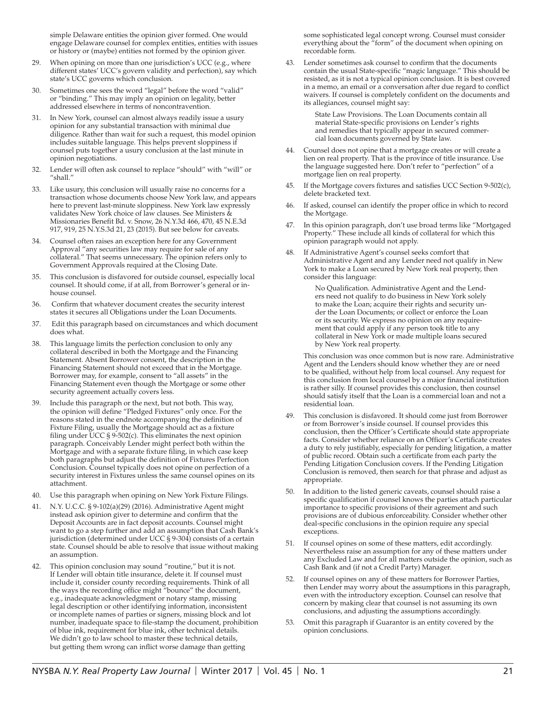simple Delaware entities the opinion giver formed. One would engage Delaware counsel for complex entities, entities with issues or history or (maybe) entities not formed by the opinion giver.

- When opining on more than one jurisdiction's UCC (e.g., where different states' UCC's govern validity and perfection), say which state's UCC governs which conclusion.
- 30. Sometimes one sees the word "legal" before the word "valid" or "binding." This may imply an opinion on legality, better addressed elsewhere in terms of noncontravention.
- 31. In New York, counsel can almost always readily issue a usury opinion for any substantial transaction with minimal due diligence. Rather than wait for such a request, this model opinion includes suitable language. This helps prevent sloppiness if counsel puts together a usury conclusion at the last minute in opinion negotiations.
- 32. Lender will often ask counsel to replace "should" with "will" or "shall."
- 33. Like usury, this conclusion will usually raise no concerns for a transaction whose documents choose New York law, and appears here to prevent last-minute sloppiness. New York law expressly validates New York choice of law clauses. See Ministers & Missionaries Benefit Bd. v. Snow, 26 N.Y.3d 466, 470, 45 N.E.3d 917, 919, 25 N.Y.S.3d 21, 23 (2015). But see below for caveats.
- 34. Counsel often raises an exception here for any Government Approval "any securities law may require for sale of any collateral." That seems unnecessary. The opinion refers only to Government Approvals required at the Closing Date.
- This conclusion is disfavored for outside counsel, especially local counsel. It should come, if at all, from Borrower's general or inhouse counsel.
- 36. Confirm that whatever document creates the security interest states it secures all Obligations under the Loan Documents.
- 37. Edit this paragraph based on circumstances and which document does what.
- 38. This language limits the perfection conclusion to only any collateral described in both the Mortgage and the Financing Statement. Absent Borrower consent, the description in the Financing Statement should not exceed that in the Mortgage. Borrower may, for example, consent to "all assets" in the Financing Statement even though the Mortgage or some other security agreement actually covers less.
- 39. Include this paragraph or the next, but not both. This way, the opinion will define "Pledged Fixtures" only once. For the reasons stated in the endnote accompanying the definition of Fixture Filing, usually the Mortgage should act as a fixture filing under  $\overline{UCC}$  § 9-502(c). This eliminates the next opinion paragraph. Conceivably Lender might perfect both within the Mortgage and with a separate fixture filing, in which case keep both paragraphs but adjust the definition of Fixtures Perfection Conclusion. Counsel typically does not opine on perfection of a security interest in Fixtures unless the same counsel opines on its attachment.
- 40. Use this paragraph when opining on New York Fixture Filings.
- 41. N.Y. U.C.C. § 9-102(a)(29) (2016). Administrative Agent might instead ask opinion giver to determine and confirm that the Deposit Accounts are in fact deposit accounts. Counsel might want to go a step further and add an assumption that Cash Bank's jurisdiction (determined under UCC § 9-304) consists of a certain state. Counsel should be able to resolve that issue without making an assumption.
- 42. This opinion conclusion may sound "routine," but it is not. If Lender will obtain title insurance, delete it. If counsel must include it, consider county recording requirements. Think of all the ways the recording office might "bounce" the document, e.g., inadequate acknowledgment or notary stamp, missing legal description or other identifying information, inconsistent or incomplete names of parties or signers, missing block and lot number, inadequate space to file-stamp the document, prohibition of blue ink, requirement for blue ink, other technical details. We didn't go to law school to master these technical details, but getting them wrong can inflict worse damage than getting

some sophisticated legal concept wrong. Counsel must consider everything about the "form" of the document when opining on recordable form.

43. Lender sometimes ask counsel to confirm that the documents contain the usual State-specific "magic language." This should be resisted, as it is not a typical opinion conclusion. It is best covered in a memo, an email or a conversation after due regard to conflict waivers. If counsel is completely confident on the documents and its allegiances, counsel might say:

> State Law Provisions. The Loan Documents contain all material State-specific provisions on Lender's rights and remedies that typically appear in secured commercial loan documents governed by State law.

- Counsel does not opine that a mortgage creates or will create a lien on real property. That is the province of title insurance. Use the language suggested here. Don't refer to "perfection" of a mortgage lien on real property.
- 45. If the Mortgage covers fixtures and satisfies UCC Section 9-502(c), delete bracketed text.
- 46. If asked, counsel can identify the proper office in which to record the Mortgage.
- 47. In this opinion paragraph, don't use broad terms like "Mortgaged Property." These include all kinds of collateral for which this opinion paragraph would not apply.
- 48. If Administrative Agent's counsel seeks comfort that Administrative Agent and any Lender need not qualify in New York to make a Loan secured by New York real property, then consider this language:

No Qualification. Administrative Agent and the Lenders need not qualify to do business in New York solely to make the Loan; acquire their rights and security under the Loan Documents; or collect or enforce the Loan or its security. We express no opinion on any requirement that could apply if any person took title to any collateral in New York or made multiple loans secured by New York real property.

 This conclusion was once common but is now rare. Administrative Agent and the Lenders should know whether they are or need to be qualified, without help from local counsel. Any request for this conclusion from local counsel by a major financial institution is rather silly. If counsel provides this conclusion, then counsel should satisfy itself that the Loan is a commercial loan and not a residential loan.

- 49. This conclusion is disfavored. It should come just from Borrower or from Borrower's inside counsel. If counsel provides this conclusion, then the Officer's Certificate should state appropriate facts. Consider whether reliance on an Officer's Certificate creates a duty to rely justifiably, especially for pending litigation, a matter of public record. Obtain such a certificate from each party the Pending Litigation Conclusion covers. If the Pending Litigation Conclusion is removed, then search for that phrase and adjust as appropriate.
- In addition to the listed generic caveats, counsel should raise a specific qualification if counsel knows the parties attach particular importance to specific provisions of their agreement and such provisions are of dubious enforceability. Consider whether other deal-specific conclusions in the opinion require any special exceptions.
- 51. If counsel opines on some of these matters, edit accordingly. Nevertheless raise an assumption for any of these matters under any Excluded Law and for all matters outside the opinion, such as Cash Bank and (if not a Credit Party) Manager.
- 52. If counsel opines on any of these matters for Borrower Parties, then Lender may worry about the assumptions in this paragraph, even with the introductory exception. Counsel can resolve that concern by making clear that counsel is not assuming its own conclusions, and adjusting the assumptions accordingly.
- 53. Omit this paragraph if Guarantor is an entity covered by the opinion conclusions.